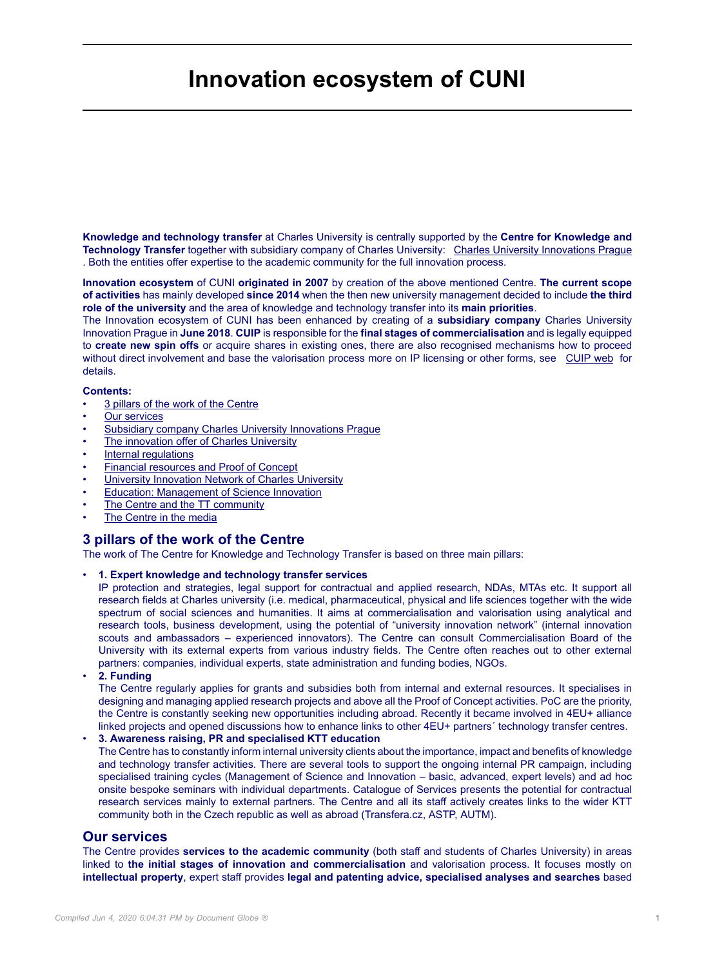# **Innovation ecosystem of CUNI**

**Knowledge and technology transfer** at Charles University is centrally supported by the **Centre for Knowledge and Technology Transfer** together with subsidiary company of Charles University: [Charles University Innovations Prague](https://www.cuip.cz/) . Both the entities offer expertise to the academic community for the full innovation process.

**Innovation ecosystem** of CUNI **originated in 2007** by creation of the above mentioned Centre. **The current scope of activities** has mainly developed **since 2014** when the then new university management decided to include **the third role of the university** and the area of knowledge and technology transfer into its **main priorities**.

The Innovation ecosystem of CUNI has been enhanced by creating of a **subsidiary company** Charles University Innovation Prague in **June 2018**. **CUIP** is responsible for the **final stages of commercialisation** and is legally equipped to **create new spin offs** or acquire shares in existing ones, there are also recognised mechanisms how to proceed without direct involvement and base the valorisation process more on IP licensing or other forms, see [CUIP web](http://www.cuip.cz/en) for details.

### **Contents:**

- 3 pillars of the work of the Centre
- **Our services**
- Subsidiary company Charles University Innovations Prague
- The innovation offer of Charles University
- Internal regulations
- Financial resources and Proof of Concept
- **University Innovation Network of Charles University**
- **Education: Management of Science Innovation**
- The Centre and the TT community
- The Centre in the media

## **3 pillars of the work of the Centre**

The work of The Centre for Knowledge and Technology Transfer is based on three main pillars:

#### • **1. Expert knowledge and technology transfer services**

IP protection and strategies, legal support for contractual and applied research, NDAs, MTAs etc. It support all research fields at Charles university (i.e. medical, pharmaceutical, physical and life sciences together with the wide spectrum of social sciences and humanities. It aims at commercialisation and valorisation using analytical and research tools, business development, using the potential of "university innovation network" (internal innovation scouts and ambassadors – experienced innovators). The Centre can consult Commercialisation Board of the University with its external experts from various industry fields. The Centre often reaches out to other external partners: companies, individual experts, state administration and funding bodies, NGOs.

• **2. Funding**

The Centre regularly applies for grants and subsidies both from internal and external resources. It specialises in designing and managing applied research projects and above all the Proof of Concept activities. PoC are the priority, the Centre is constantly seeking new opportunities including abroad. Recently it became involved in 4EU+ alliance linked projects and opened discussions how to enhance links to other 4EU+ partners´ technology transfer centres.

#### • **3. Awareness raising, PR and specialised KTT education**

The Centre has to constantly inform internal university clients about the importance, impact and benefits of knowledge and technology transfer activities. There are several tools to support the ongoing internal PR campaign, including specialised training cycles (Management of Science and Innovation – basic, advanced, expert levels) and ad hoc onsite bespoke seminars with individual departments. Catalogue of Services presents the potential for contractual research services mainly to external partners. The Centre and all its staff actively creates links to the wider KTT community both in the Czech republic as well as abroad (Transfera.cz, ASTP, AUTM).

## **Our services**

The Centre provides **services to the academic community** (both staff and students of Charles University) in areas linked to **the initial stages of innovation and commercialisation** and valorisation process. It focuses mostly on **intellectual property**, expert staff provides **legal and patenting advice, specialised analyses and searches** based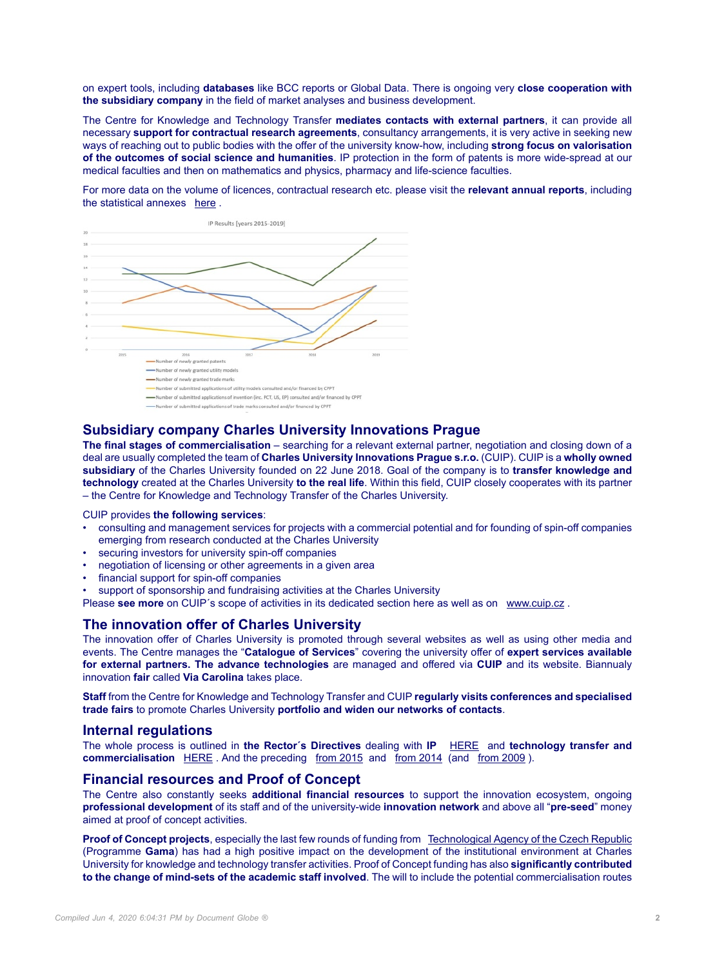on expert tools, including **databases** like BCC reports or Global Data. There is ongoing very **close cooperation with the subsidiary company** in the field of market analyses and business development.

The Centre for Knowledge and Technology Transfer **mediates contacts with external partners**, it can provide all necessary **support for contractual research agreements**, consultancy arrangements, it is very active in seeking new ways of reaching out to public bodies with the offer of the university know-how, including **strong focus on valorisation of the outcomes of social science and humanities**. IP protection in the form of patents is more wide-spread at our medical faculties and then on mathematics and physics, pharmacy and life-science faculties.

For more data on the volume of licences, contractual research etc. please visit the **relevant annual reports**, including the statistical annexes [here](https://cuni.cz/UKEN-537.html) .



# **Subsidiary company Charles University Innovations Prague**

**The final stages of commercialisation** – searching for a relevant external partner, negotiation and closing down of a deal are usually completed the team of **Charles University Innovations Prague s.r.o.** (CUIP). CUIP is a **wholly owned subsidiary** of the Charles University founded on 22 June 2018. Goal of the company is to **transfer knowledge and technology** created at the Charles University **to the real life**. Within this field, CUIP closely cooperates with its partner – the Centre for Knowledge and Technology Transfer of the Charles University.

CUIP provides **the following services**:

- consulting and management services for projects with a commercial potential and for founding of spin-off companies emerging from research conducted at the Charles University
- securing investors for university spin-off companies
- negotiation of licensing or other agreements in a given area
- financial support for spin-off companies
- support of sponsorship and fundraising activities at the Charles University

Please **see more** on CUIP's scope of activities in its dedicated section here as well as on [www.cuip.cz](http://www.cuip.cz/en).

### **The innovation offer of Charles University**

The innovation offer of Charles University is promoted through several websites as well as using other media and events. The Centre manages the "**Catalogue of Services**" covering the university offer of **expert services available for external partners. The advance technologies** are managed and offered via **CUIP** and its website. Biannualy innovation **fair** called **Via Carolina** takes place.

**Staff** from the Centre for Knowledge and Technology Transfer and CUIP **regularly visits conferences and specialised trade fairs** to promote Charles University **portfolio and widen our networks of contacts**.

#### **Internal regulations**

The whole process is outlined in **the Rector´s Directives** dealing with **IP** [HERE](https://www.cuni.cz/UKEN-969.html) and **technology transfer and commercialisation** [HERE](https://www.cuni.cz/UKEN-966.html) . And the preceding [from 2015](https://cuni.cz/UK-6867.html) and [from 2014](https://cuni.cz/UK-5588.html) (and [from 2009](https://cuni.cz/UK-3713.html)).

## **Financial resources and Proof of Concept**

The Centre also constantly seeks **additional financial resources** to support the innovation ecosystem, ongoing **professional development** of its staff and of the university-wide **innovation network** and above all "**pre-seed**" money aimed at proof of concept activities.

**Proof of Concept projects**, especially the last few rounds of funding from **[Technological Agency of the Czech Republic](https://www.tacr.cz/en/)** (Programme **Gama**) has had a high positive impact on the development of the institutional environment at Charles University for knowledge and technology transfer activities. Proof of Concept funding has also **significantly contributed to the change of mind-sets of the academic staff involved**. The will to include the potential commercialisation routes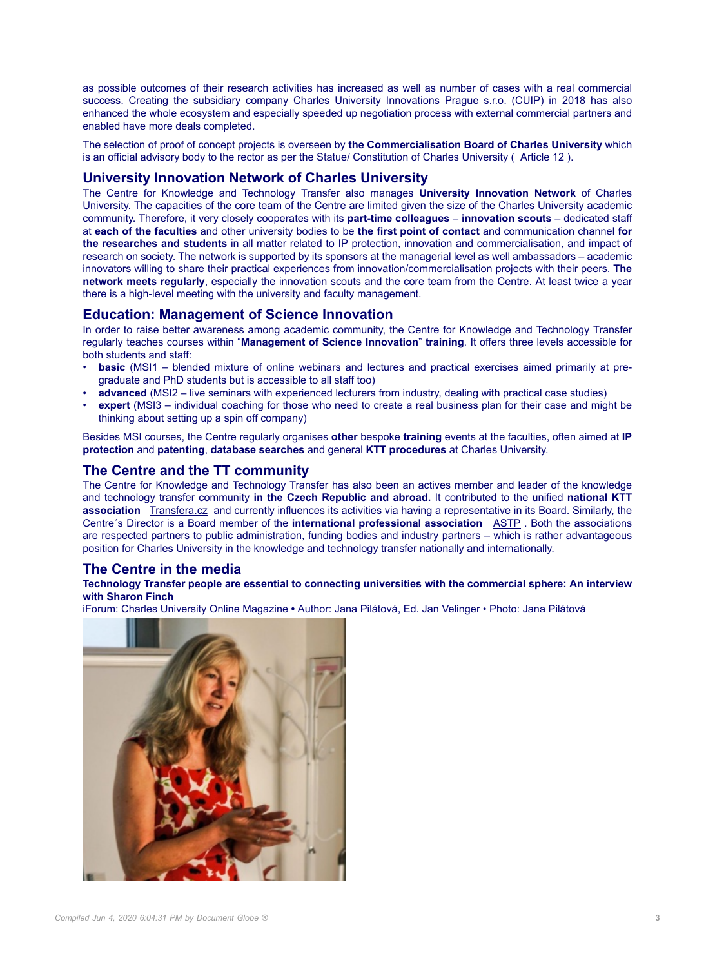as possible outcomes of their research activities has increased as well as number of cases with a real commercial success. Creating the subsidiary company Charles University Innovations Prague s.r.o. (CUIP) in 2018 has also enhanced the whole ecosystem and especially speeded up negotiation process with external commercial partners and enabled have more deals completed.

The selection of proof of concept projects is overseen by **the Commercialisation Board of Charles University** which is an official advisory body to the rector as per the Statue/ Constitution of Charles University ( [Article 12](https://cuni.cz/UKEN-625.html) ).

## **University Innovation Network of Charles University**

The Centre for Knowledge and Technology Transfer also manages **University Innovation Network** of Charles University. The capacities of the core team of the Centre are limited given the size of the Charles University academic community. Therefore, it very closely cooperates with its **part-time colleagues** – **innovation scouts** – dedicated staff at **each of the faculties** and other university bodies to be **the first point of contact** and communication channel **for the researches and students** in all matter related to IP protection, innovation and commercialisation, and impact of research on society. The network is supported by its sponsors at the managerial level as well ambassadors – academic innovators willing to share their practical experiences from innovation/commercialisation projects with their peers. **The network meets regularly**, especially the innovation scouts and the core team from the Centre. At least twice a year there is a high-level meeting with the university and faculty management.

## **Education: Management of Science Innovation**

In order to raise better awareness among academic community, the Centre for Knowledge and Technology Transfer regularly teaches courses within "**Management of Science Innovation**" **training**. It offers three levels accessible for both students and staff:

- **basic** (MSI1 blended mixture of online webinars and lectures and practical exercises aimed primarily at pregraduate and PhD students but is accessible to all staff too)
- **advanced** (MSI2 live seminars with experienced lecturers from industry, dealing with practical case studies)
- **expert** (MSI3 individual coaching for those who need to create a real business plan for their case and might be thinking about setting up a spin off company)

Besides MSI courses, the Centre regularly organises **other** bespoke **training** events at the faculties, often aimed at **IP protection** and **patenting**, **database searches** and general **KTT procedures** at Charles University.

## **The Centre and the TT community**

The Centre for Knowledge and Technology Transfer has also been an actives member and leader of the knowledge and technology transfer community **in the Czech Republic and abroad.** It contributed to the unified **national KTT association** [Transfera.cz](http://www.transfera.cz) and currently influences its activities via having a representative in its Board. Similarly, the Centre´s Director is a Board member of the **international professional association** [ASTP](http://https://www.astp4kt.eu/) . Both the associations are respected partners to public administration, funding bodies and industry partners – which is rather advantageous position for Charles University in the knowledge and technology transfer nationally and internationally.

# **The Centre in the media**

#### **Technology Transfer people are essential to connecting universities with the commercial sphere: An interview with Sharon Finch**

iForum: Charles University Online Magazine **•** Author: Jana Pilátová, Ed. Jan Velinger • Photo: Jana Pilátová

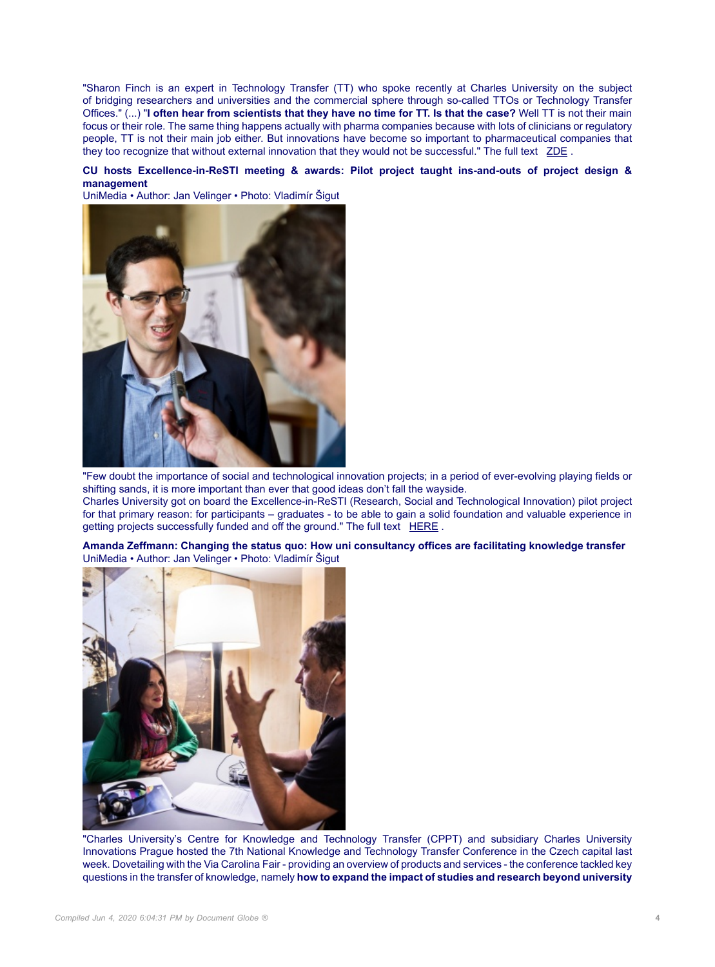"Sharon Finch is an expert in Technology Transfer (TT) who spoke recently at Charles University on the subject of bridging researchers and universities and the commercial sphere through so-called TTOs or Technology Transfer Offices." (...) "**I often hear from scientists that they have no time for TT. Is that the case?** Well TT is not their main focus or their role. The same thing happens actually with pharma companies because with lots of clinicians or regulatory people, TT is not their main job either. But innovations have become so important to pharmaceutical companies that they too recognize that without external innovation that they would not be successful." The full text [ZDE](https://iforum.cuni.cz/IFORUMENG-810.html) .

#### **CU hosts Excellence-in-ReSTI meeting & awards: Pilot project taught ins-and-outs of project design & management**

UniMedia • Author: Jan Velinger • Photo: Vladimír Šigut



"Few doubt the importance of social and technological innovation projects; in a period of ever-evolving playing fields or shifting sands, it is more important than ever that good ideas don't fall the wayside. Charles University got on board the Excellence-in-ReSTI (Research, Social and Technological Innovation) pilot project for that primary reason: for participants – graduates - to be able to gain a solid foundation and valuable experience in getting projects successfully funded and off the ground." The full text [HERE](https://cuni.cz/UKEN-1081.html).

**Amanda Zeffmann: Changing the status quo: How uni consultancy offices are facilitating knowledge transfer** UniMedia • Author: Jan Velinger • Photo: Vladimír Šigut



"Charles University's Centre for Knowledge and Technology Transfer (CPPT) and subsidiary Charles University Innovations Prague hosted the 7th National Knowledge and Technology Transfer Conference in the Czech capital last week. Dovetailing with the Via Carolina Fair - providing an overview of products and services - the conference tackled key questions in the transfer of knowledge, namely **how to expand the impact of studies and research beyond university**